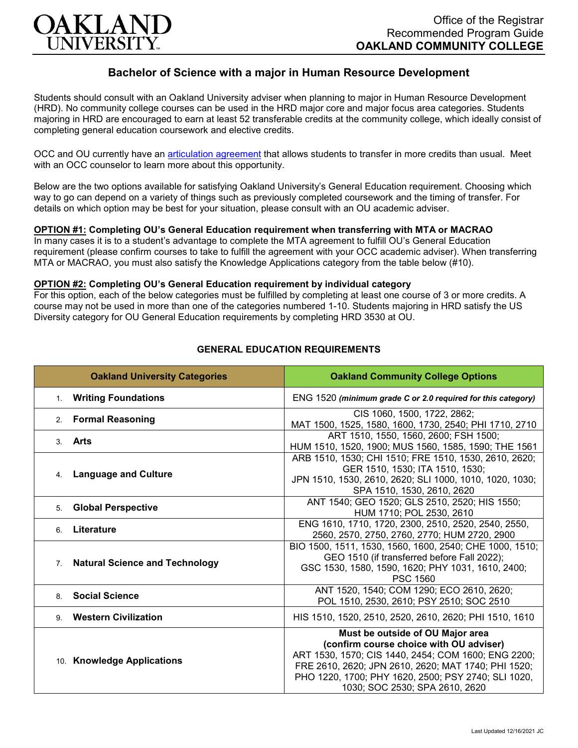

# **Bachelor of Science with a major in Human Resource Development**

Students should consult with an Oakland University adviser when planning to major in Human Resource Development (HRD). No community college courses can be used in the HRD major core and major focus area categories. Students majoring in HRD are encouraged to earn at least 52 transferable credits at the community college, which ideally consist of completing general education coursework and elective credits.

OCC and OU currently have an [articulation agreement](https://www.oakland.edu/Assets/Oakland/articulation-agreements/oakland-community-college/OCC%20HRD%20AA.pdf) that allows students to transfer in more credits than usual. Meet with an OCC counselor to learn more about this opportunity.

Below are the two options available for satisfying Oakland University's General Education requirement. Choosing which way to go can depend on a variety of things such as previously completed coursework and the timing of transfer. For details on which option may be best for your situation, please consult with an OU academic adviser.

### **OPTION #1: Completing OU's General Education requirement when transferring with MTA or MACRAO**

In many cases it is to a student's advantage to complete the MTA agreement to fulfill OU's General Education requirement (please confirm courses to take to fulfill the agreement with your OCC academic adviser). When transferring MTA or MACRAO, you must also satisfy the Knowledge Applications category from the table below (#10).

#### **OPTION #2: Completing OU's General Education requirement by individual category**

For this option, each of the below categories must be fulfilled by completing at least one course of 3 or more credits. A course may not be used in more than one of the categories numbered 1-10. Students majoring in HRD satisfy the US Diversity category for OU General Education requirements by completing HRD 3530 at OU.

| <b>Oakland University Categories</b>                    | <b>Oakland Community College Options</b>                                                                                                                                                                                                                                           |
|---------------------------------------------------------|------------------------------------------------------------------------------------------------------------------------------------------------------------------------------------------------------------------------------------------------------------------------------------|
| 1. Writing Foundations                                  | ENG 1520 (minimum grade C or 2.0 required for this category)                                                                                                                                                                                                                       |
| <b>Formal Reasoning</b><br>2.                           | CIS 1060, 1500, 1722, 2862;<br>MAT 1500, 1525, 1580, 1600, 1730, 2540; PHI 1710, 2710                                                                                                                                                                                              |
| 3. Arts                                                 | ART 1510, 1550, 1560, 2600; FSH 1500;<br>HUM 1510, 1520, 1900; MUS 1560, 1585, 1590; THE 1561                                                                                                                                                                                      |
| <b>Language and Culture</b><br>4.                       | ARB 1510, 1530; CHI 1510; FRE 1510, 1530, 2610, 2620;<br>GER 1510, 1530; ITA 1510, 1530;<br>JPN 1510, 1530, 2610, 2620; SLI 1000, 1010, 1020, 1030;<br>SPA 1510, 1530, 2610, 2620                                                                                                  |
| <b>Global Perspective</b><br>5 <sub>1</sub>             | ANT 1540; GEO 1520; GLS 2510, 2520; HIS 1550;<br>HUM 1710; POL 2530, 2610                                                                                                                                                                                                          |
| Literature<br>6.                                        | ENG 1610, 1710, 1720, 2300, 2510, 2520, 2540, 2550,<br>2560, 2570, 2750, 2760, 2770; HUM 2720, 2900                                                                                                                                                                                |
| <b>Natural Science and Technology</b><br>7 <sub>1</sub> | BIO 1500, 1511, 1530, 1560, 1600, 2540; CHE 1000, 1510;<br>GEO 1510 (if transferred before Fall 2022);<br>GSC 1530, 1580, 1590, 1620; PHY 1031, 1610, 2400;<br><b>PSC 1560</b>                                                                                                     |
| <b>Social Science</b><br>8                              | ANT 1520, 1540; COM 1290; ECO 2610, 2620;<br>POL 1510, 2530, 2610; PSY 2510; SOC 2510                                                                                                                                                                                              |
| 9. Western Civilization                                 | HIS 1510, 1520, 2510, 2520, 2610, 2620; PHI 1510, 1610                                                                                                                                                                                                                             |
| 10. Knowledge Applications                              | Must be outside of OU Major area<br>(confirm course choice with OU adviser)<br>ART 1530, 1570; CIS 1440, 2454; COM 1600; ENG 2200;<br>FRE 2610, 2620; JPN 2610, 2620; MAT 1740; PHI 1520;<br>PHO 1220, 1700; PHY 1620, 2500; PSY 2740; SLI 1020,<br>1030; SOC 2530; SPA 2610, 2620 |

# **GENERAL EDUCATION REQUIREMENTS**